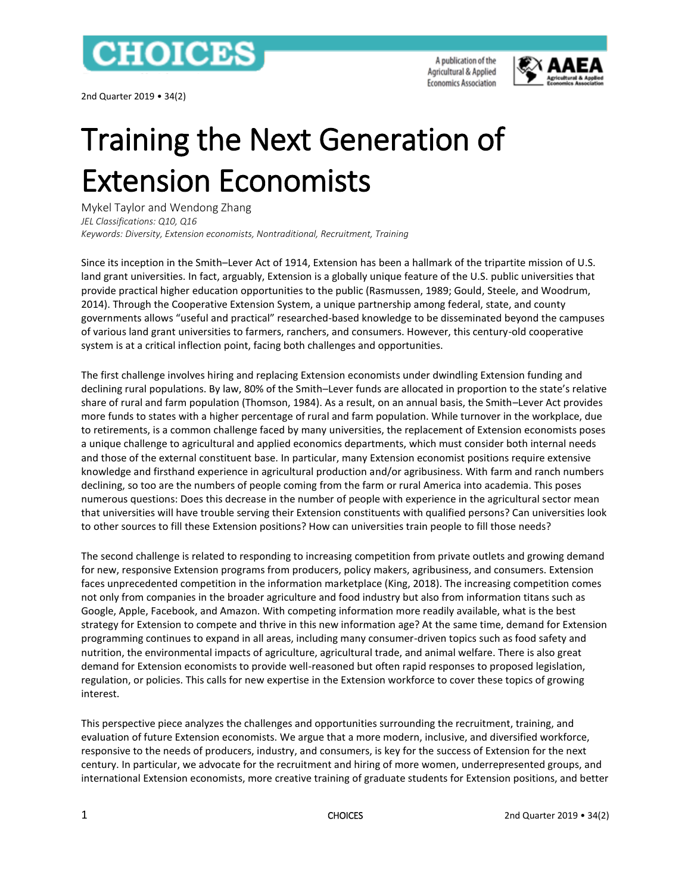

2nd Quarter 2019 • 34(2)

A publication of the Agricultural & Applied **Economics Association** 



# Training the Next Generation of Extension Economists

Mykel Taylor and Wendong Zhang *JEL Classifications: Q10, Q16 Keywords: Diversity, Extension economists, Nontraditional, Recruitment, Training*

Since its inception in the Smith–Lever Act of 1914, Extension has been a hallmark of the tripartite mission of U.S. land grant universities. In fact, arguably, Extension is a globally unique feature of the U.S. public universities that provide practical higher education opportunities to the public (Rasmussen, 1989; Gould, Steele, and Woodrum, 2014). Through the Cooperative Extension System, a unique partnership among federal, state, and county governments allows "useful and practical" researched-based knowledge to be disseminated beyond the campuses of various land grant universities to farmers, ranchers, and consumers. However, this century-old cooperative system is at a critical inflection point, facing both challenges and opportunities.

The first challenge involves hiring and replacing Extension economists under dwindling Extension funding and declining rural populations. By law, 80% of the Smith–Lever funds are allocated in proportion to the state's relative share of rural and farm population (Thomson, 1984). As a result, on an annual basis, the Smith–Lever Act provides more funds to states with a higher percentage of rural and farm population. While turnover in the workplace, due to retirements, is a common challenge faced by many universities, the replacement of Extension economists poses a unique challenge to agricultural and applied economics departments, which must consider both internal needs and those of the external constituent base. In particular, many Extension economist positions require extensive knowledge and firsthand experience in agricultural production and/or agribusiness. With farm and ranch numbers declining, so too are the numbers of people coming from the farm or rural America into academia. This poses numerous questions: Does this decrease in the number of people with experience in the agricultural sector mean that universities will have trouble serving their Extension constituents with qualified persons? Can universities look to other sources to fill these Extension positions? How can universities train people to fill those needs?

The second challenge is related to responding to increasing competition from private outlets and growing demand for new, responsive Extension programs from producers, policy makers, agribusiness, and consumers. Extension faces unprecedented competition in the information marketplace (King, 2018). The increasing competition comes not only from companies in the broader agriculture and food industry but also from information titans such as Google, Apple, Facebook, and Amazon. With competing information more readily available, what is the best strategy for Extension to compete and thrive in this new information age? At the same time, demand for Extension programming continues to expand in all areas, including many consumer-driven topics such as food safety and nutrition, the environmental impacts of agriculture, agricultural trade, and animal welfare. There is also great demand for Extension economists to provide well-reasoned but often rapid responses to proposed legislation, regulation, or policies. This calls for new expertise in the Extension workforce to cover these topics of growing interest.

This perspective piece analyzes the challenges and opportunities surrounding the recruitment, training, and evaluation of future Extension economists. We argue that a more modern, inclusive, and diversified workforce, responsive to the needs of producers, industry, and consumers, is key for the success of Extension for the next century. In particular, we advocate for the recruitment and hiring of more women, underrepresented groups, and international Extension economists, more creative training of graduate students for Extension positions, and better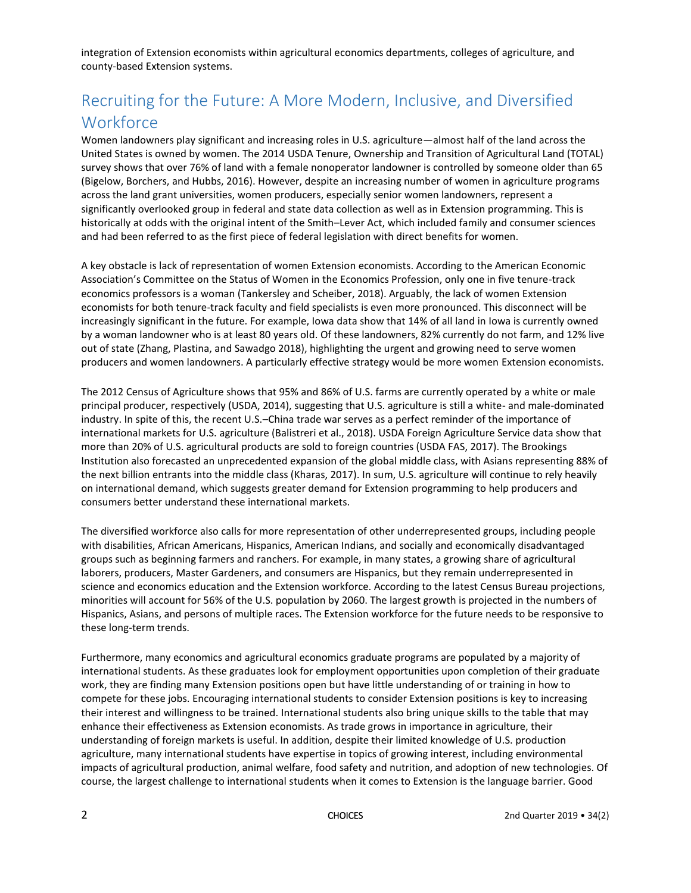integration of Extension economists within agricultural economics departments, colleges of agriculture, and county-based Extension systems.

# Recruiting for the Future: A More Modern, Inclusive, and Diversified **Workforce**

Women landowners play significant and increasing roles in U.S. agriculture—almost half of the land across the United States is owned by women. The 2014 USDA Tenure, Ownership and Transition of Agricultural Land (TOTAL) survey shows that over 76% of land with a female nonoperator landowner is controlled by someone older than 65 (Bigelow, Borchers, and Hubbs, 2016). However, despite an increasing number of women in agriculture programs across the land grant universities, women producers, especially senior women landowners, represent a significantly overlooked group in federal and state data collection as well as in Extension programming. This is historically at odds with the original intent of the Smith–Lever Act, which included family and consumer sciences and had been referred to as the first piece of federal legislation with direct benefits for women.

A key obstacle is lack of representation of women Extension economists. According to the American Economic Association's Committee on the Status of Women in the Economics Profession, only one in five tenure-track economics professors is a woman (Tankersley and Scheiber, 2018). Arguably, the lack of women Extension economists for both tenure-track faculty and field specialists is even more pronounced. This disconnect will be increasingly significant in the future. For example, Iowa data show that 14% of all land in Iowa is currently owned by a woman landowner who is at least 80 years old. Of these landowners, 82% currently do not farm, and 12% live out of state (Zhang, Plastina, and Sawadgo 2018), highlighting the urgent and growing need to serve women producers and women landowners. A particularly effective strategy would be more women Extension economists.

The 2012 Census of Agriculture shows that 95% and 86% of U.S. farms are currently operated by a white or male principal producer, respectively (USDA, 2014), suggesting that U.S. agriculture is still a white- and male-dominated industry. In spite of this, the recent U.S.–China trade war serves as a perfect reminder of the importance of international markets for U.S. agriculture (Balistreri et al., 2018). USDA Foreign Agriculture Service data show that more than 20% of U.S. agricultural products are sold to foreign countries (USDA FAS, 2017). The Brookings Institution also forecasted an unprecedented expansion of the global middle class, with Asians representing 88% of the next billion entrants into the middle class (Kharas, 2017). In sum, U.S. agriculture will continue to rely heavily on international demand, which suggests greater demand for Extension programming to help producers and consumers better understand these international markets.

The diversified workforce also calls for more representation of other underrepresented groups, including people with disabilities, African Americans, Hispanics, American Indians, and socially and economically disadvantaged groups such as beginning farmers and ranchers. For example, in many states, a growing share of agricultural laborers, producers, Master Gardeners, and consumers are Hispanics, but they remain underrepresented in science and economics education and the Extension workforce. According to the latest Census Bureau projections, minorities will account for 56% of the U.S. population by 2060. The largest growth is projected in the numbers of Hispanics, Asians, and persons of multiple races. The Extension workforce for the future needs to be responsive to these long-term trends.

Furthermore, many economics and agricultural economics graduate programs are populated by a majority of international students. As these graduates look for employment opportunities upon completion of their graduate work, they are finding many Extension positions open but have little understanding of or training in how to compete for these jobs. Encouraging international students to consider Extension positions is key to increasing their interest and willingness to be trained. International students also bring unique skills to the table that may enhance their effectiveness as Extension economists. As trade grows in importance in agriculture, their understanding of foreign markets is useful. In addition, despite their limited knowledge of U.S. production agriculture, many international students have expertise in topics of growing interest, including environmental impacts of agricultural production, animal welfare, food safety and nutrition, and adoption of new technologies. Of course, the largest challenge to international students when it comes to Extension is the language barrier. Good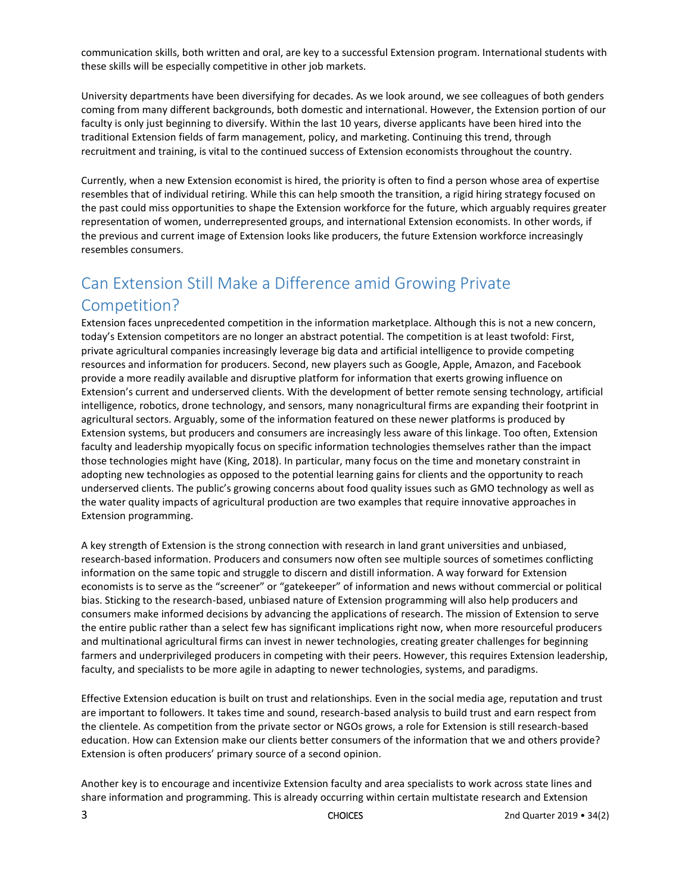communication skills, both written and oral, are key to a successful Extension program. International students with these skills will be especially competitive in other job markets.

University departments have been diversifying for decades. As we look around, we see colleagues of both genders coming from many different backgrounds, both domestic and international. However, the Extension portion of our faculty is only just beginning to diversify. Within the last 10 years, diverse applicants have been hired into the traditional Extension fields of farm management, policy, and marketing. Continuing this trend, through recruitment and training, is vital to the continued success of Extension economists throughout the country.

Currently, when a new Extension economist is hired, the priority is often to find a person whose area of expertise resembles that of individual retiring. While this can help smooth the transition, a rigid hiring strategy focused on the past could miss opportunities to shape the Extension workforce for the future, which arguably requires greater representation of women, underrepresented groups, and international Extension economists. In other words, if the previous and current image of Extension looks like producers, the future Extension workforce increasingly resembles consumers.

## Can Extension Still Make a Difference amid Growing Private Competition?

Extension faces unprecedented competition in the information marketplace. Although this is not a new concern, today's Extension competitors are no longer an abstract potential. The competition is at least twofold: First, private agricultural companies increasingly leverage big data and artificial intelligence to provide competing resources and information for producers. Second, new players such as Google, Apple, Amazon, and Facebook provide a more readily available and disruptive platform for information that exerts growing influence on Extension's current and underserved clients. With the development of better remote sensing technology, artificial intelligence, robotics, drone technology, and sensors, many nonagricultural firms are expanding their footprint in agricultural sectors. Arguably, some of the information featured on these newer platforms is produced by Extension systems, but producers and consumers are increasingly less aware of this linkage. Too often, Extension faculty and leadership myopically focus on specific information technologies themselves rather than the impact those technologies might have (King, 2018). In particular, many focus on the time and monetary constraint in adopting new technologies as opposed to the potential learning gains for clients and the opportunity to reach underserved clients. The public's growing concerns about food quality issues such as GMO technology as well as the water quality impacts of agricultural production are two examples that require innovative approaches in Extension programming.

A key strength of Extension is the strong connection with research in land grant universities and unbiased, research-based information. Producers and consumers now often see multiple sources of sometimes conflicting information on the same topic and struggle to discern and distill information. A way forward for Extension economists is to serve as the "screener" or "gatekeeper" of information and news without commercial or political bias. Sticking to the research-based, unbiased nature of Extension programming will also help producers and consumers make informed decisions by advancing the applications of research. The mission of Extension to serve the entire public rather than a select few has significant implications right now, when more resourceful producers and multinational agricultural firms can invest in newer technologies, creating greater challenges for beginning farmers and underprivileged producers in competing with their peers. However, this requires Extension leadership, faculty, and specialists to be more agile in adapting to newer technologies, systems, and paradigms.

Effective Extension education is built on trust and relationships. Even in the social media age, reputation and trust are important to followers. It takes time and sound, research-based analysis to build trust and earn respect from the clientele. As competition from the private sector or NGOs grows, a role for Extension is still research-based education. How can Extension make our clients better consumers of the information that we and others provide? Extension is often producers' primary source of a second opinion.

Another key is to encourage and incentivize Extension faculty and area specialists to work across state lines and share information and programming. This is already occurring within certain multistate research and Extension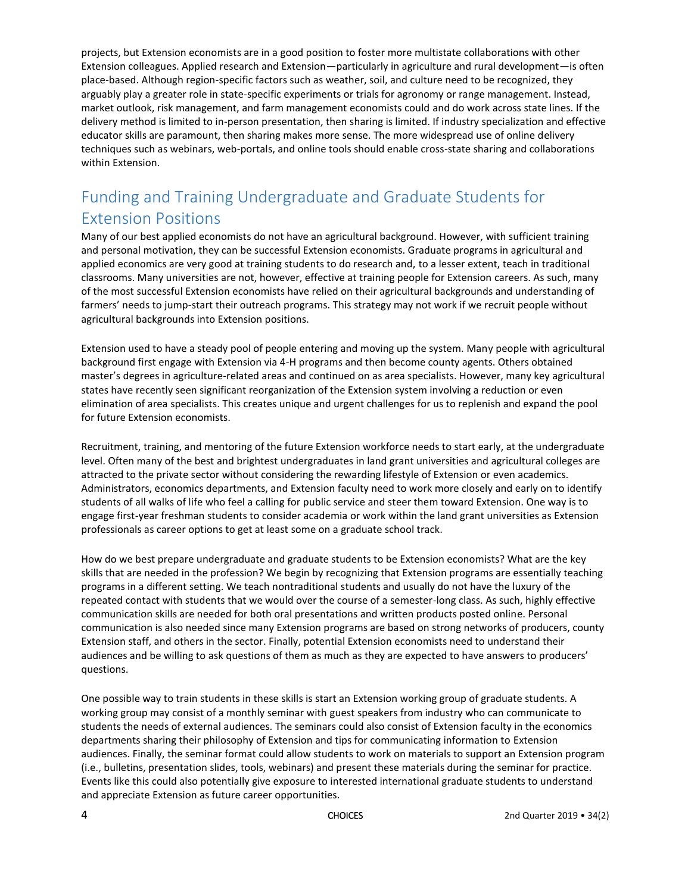projects, but Extension economists are in a good position to foster more multistate collaborations with other Extension colleagues. Applied research and Extension—particularly in agriculture and rural development—is often place-based. Although region-specific factors such as weather, soil, and culture need to be recognized, they arguably play a greater role in state-specific experiments or trials for agronomy or range management. Instead, market outlook, risk management, and farm management economists could and do work across state lines. If the delivery method is limited to in-person presentation, then sharing is limited. If industry specialization and effective educator skills are paramount, then sharing makes more sense. The more widespread use of online delivery techniques such as webinars, web-portals, and online tools should enable cross-state sharing and collaborations within Extension.

# Funding and Training Undergraduate and Graduate Students for Extension Positions

Many of our best applied economists do not have an agricultural background. However, with sufficient training and personal motivation, they can be successful Extension economists. Graduate programs in agricultural and applied economics are very good at training students to do research and, to a lesser extent, teach in traditional classrooms. Many universities are not, however, effective at training people for Extension careers. As such, many of the most successful Extension economists have relied on their agricultural backgrounds and understanding of farmers' needs to jump-start their outreach programs. This strategy may not work if we recruit people without agricultural backgrounds into Extension positions.

Extension used to have a steady pool of people entering and moving up the system. Many people with agricultural background first engage with Extension via 4-H programs and then become county agents. Others obtained master's degrees in agriculture-related areas and continued on as area specialists. However, many key agricultural states have recently seen significant reorganization of the Extension system involving a reduction or even elimination of area specialists. This creates unique and urgent challenges for us to replenish and expand the pool for future Extension economists.

Recruitment, training, and mentoring of the future Extension workforce needs to start early, at the undergraduate level. Often many of the best and brightest undergraduates in land grant universities and agricultural colleges are attracted to the private sector without considering the rewarding lifestyle of Extension or even academics. Administrators, economics departments, and Extension faculty need to work more closely and early on to identify students of all walks of life who feel a calling for public service and steer them toward Extension. One way is to engage first-year freshman students to consider academia or work within the land grant universities as Extension professionals as career options to get at least some on a graduate school track.

How do we best prepare undergraduate and graduate students to be Extension economists? What are the key skills that are needed in the profession? We begin by recognizing that Extension programs are essentially teaching programs in a different setting. We teach nontraditional students and usually do not have the luxury of the repeated contact with students that we would over the course of a semester-long class. As such, highly effective communication skills are needed for both oral presentations and written products posted online. Personal communication is also needed since many Extension programs are based on strong networks of producers, county Extension staff, and others in the sector. Finally, potential Extension economists need to understand their audiences and be willing to ask questions of them as much as they are expected to have answers to producers' questions.

One possible way to train students in these skills is start an Extension working group of graduate students. A working group may consist of a monthly seminar with guest speakers from industry who can communicate to students the needs of external audiences. The seminars could also consist of Extension faculty in the economics departments sharing their philosophy of Extension and tips for communicating information to Extension audiences. Finally, the seminar format could allow students to work on materials to support an Extension program (i.e., bulletins, presentation slides, tools, webinars) and present these materials during the seminar for practice. Events like this could also potentially give exposure to interested international graduate students to understand and appreciate Extension as future career opportunities.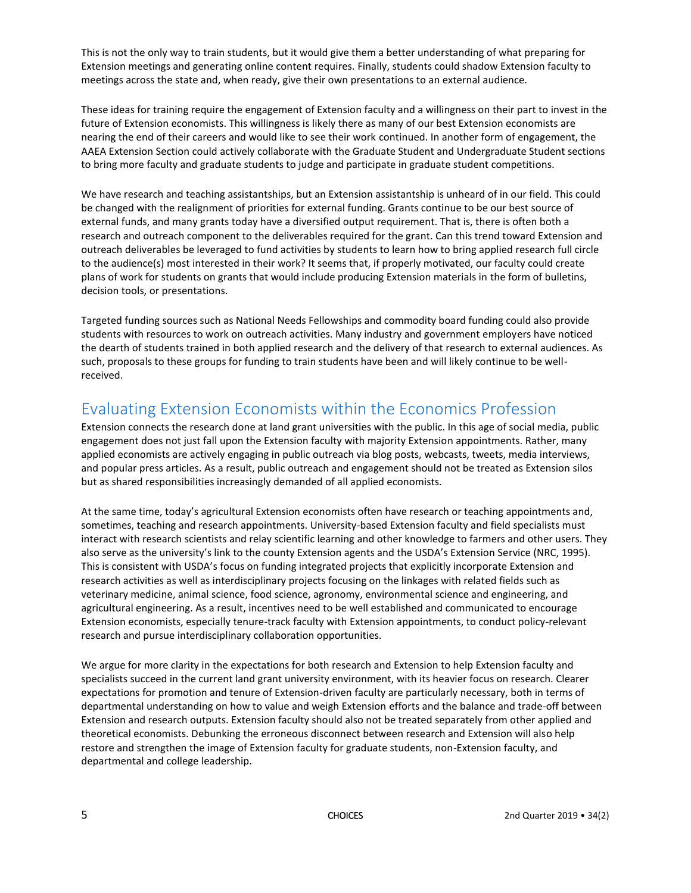This is not the only way to train students, but it would give them a better understanding of what preparing for Extension meetings and generating online content requires. Finally, students could shadow Extension faculty to meetings across the state and, when ready, give their own presentations to an external audience.

These ideas for training require the engagement of Extension faculty and a willingness on their part to invest in the future of Extension economists. This willingness is likely there as many of our best Extension economists are nearing the end of their careers and would like to see their work continued. In another form of engagement, the AAEA Extension Section could actively collaborate with the Graduate Student and Undergraduate Student sections to bring more faculty and graduate students to judge and participate in graduate student competitions.

We have research and teaching assistantships, but an Extension assistantship is unheard of in our field. This could be changed with the realignment of priorities for external funding. Grants continue to be our best source of external funds, and many grants today have a diversified output requirement. That is, there is often both a research and outreach component to the deliverables required for the grant. Can this trend toward Extension and outreach deliverables be leveraged to fund activities by students to learn how to bring applied research full circle to the audience(s) most interested in their work? It seems that, if properly motivated, our faculty could create plans of work for students on grants that would include producing Extension materials in the form of bulletins, decision tools, or presentations.

Targeted funding sources such as National Needs Fellowships and commodity board funding could also provide students with resources to work on outreach activities. Many industry and government employers have noticed the dearth of students trained in both applied research and the delivery of that research to external audiences. As such, proposals to these groups for funding to train students have been and will likely continue to be wellreceived.

#### Evaluating Extension Economists within the Economics Profession

Extension connects the research done at land grant universities with the public. In this age of social media, public engagement does not just fall upon the Extension faculty with majority Extension appointments. Rather, many applied economists are actively engaging in public outreach via blog posts, webcasts, tweets, media interviews, and popular press articles. As a result, public outreach and engagement should not be treated as Extension silos but as shared responsibilities increasingly demanded of all applied economists.

At the same time, today's agricultural Extension economists often have research or teaching appointments and, sometimes, teaching and research appointments. University-based Extension faculty and field specialists must interact with research scientists and relay scientific learning and other knowledge to farmers and other users. They also serve as the university's link to the county Extension agents and the USDA's Extension Service (NRC, 1995). This is consistent with USDA's focus on funding integrated projects that explicitly incorporate Extension and research activities as well as interdisciplinary projects focusing on the linkages with related fields such as veterinary medicine, animal science, food science, agronomy, environmental science and engineering, and agricultural engineering. As a result, incentives need to be well established and communicated to encourage Extension economists, especially tenure-track faculty with Extension appointments, to conduct policy-relevant research and pursue interdisciplinary collaboration opportunities.

We argue for more clarity in the expectations for both research and Extension to help Extension faculty and specialists succeed in the current land grant university environment, with its heavier focus on research. Clearer expectations for promotion and tenure of Extension-driven faculty are particularly necessary, both in terms of departmental understanding on how to value and weigh Extension efforts and the balance and trade-off between Extension and research outputs. Extension faculty should also not be treated separately from other applied and theoretical economists. Debunking the erroneous disconnect between research and Extension will also help restore and strengthen the image of Extension faculty for graduate students, non-Extension faculty, and departmental and college leadership.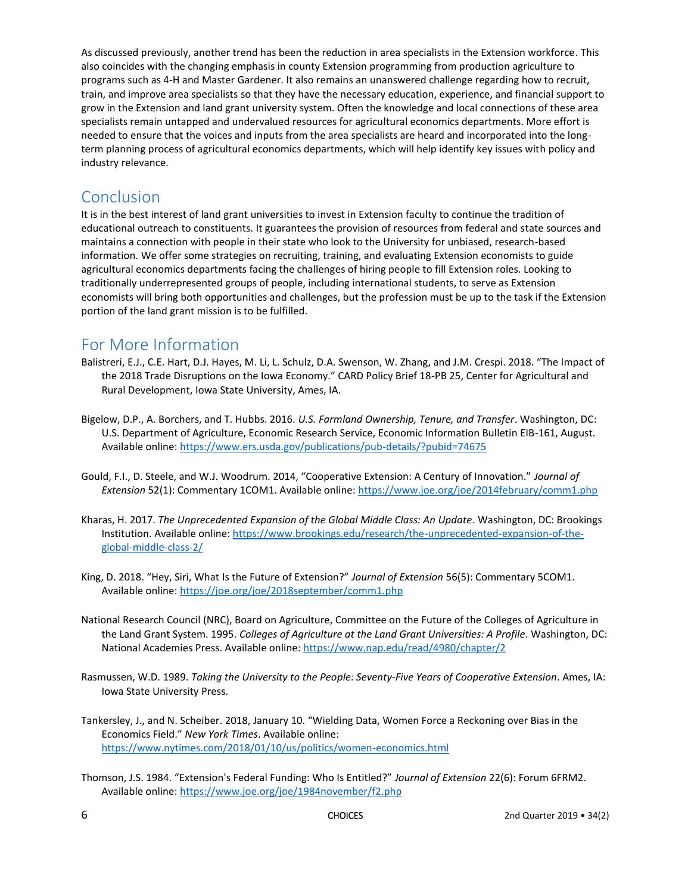As discussed previously, another trend has been the reduction in area specialists in the Extension workforce. This also coincides with the changing emphasis in county Extension programming from production agriculture to programs such as 4-H and Master Gardener. It also remains an unanswered challenge regarding how to recruit, train, and improve area specialists so that they have the necessary education, experience, and financial support to grow in the Extension and land grant university system. Often the knowledge and local connections of these area specialists remain untapped and undervalued resources for agricultural economics departments. More effort is needed to ensure that the voices and inputs from the area specialists are heard and incorporated into the longterm planning process of agricultural economics departments, which will help identify key issues with policy and industry relevance.

#### Conclusion

It is in the best interest of land grant universities to invest in Extension faculty to continue the tradition of educational outreach to constituents. It guarantees the provision of resources from federal and state sources and maintains a connection with people in their state who look to the University for unbiased, research-based information. We offer some strategies on recruiting, training, and evaluating Extension economists to guide agricultural economics departments facing the challenges of hiring people to fill Extension roles. Looking to traditionally underrepresented groups of people, including international students, to serve as Extension economists will bring both opportunities and challenges, but the profession must be up to the task if the Extension portion of the land grant mission is to be fulfilled.

### For More Information

- Balistreri, E.J., C.E. Hart, D.J. Hayes, M. Li, L. Schulz, D.A. Swenson, W. Zhang, and J.M. Crespi. 2018. "The Impact of the 2018 Trade Disruptions on the Iowa Economy." CARD Policy Brief 18-PB 25, Center for Agricultural and Rural Development, Iowa State University, Ames, IA.
- Bigelow, D.P., A. Borchers, and T. Hubbs. 2016. *U.S. Farmland Ownership, Tenure, and Transfer*. Washington, DC: U.S. Department of Agriculture, Economic Research Service, Economic Information Bulletin EIB-161, August. Available online: <https://www.ers.usda.gov/publications/pub-details/?pubid=74675>
- Gould, F.I., D. Steele, and W.J. Woodrum. 2014, "Cooperative Extension: A Century of Innovation." *Journal of Extension* 52(1): Commentary 1COM1. Available online: <https://www.joe.org/joe/2014february/comm1.php>
- Kharas, H. 2017. *The Unprecedented Expansion of the Global Middle Class: An Update*. Washington, DC: Brookings Institution. Available online: [https://www.brookings.edu/research/the-unprecedented-expansion-of-the](https://www.brookings.edu/research/the-unprecedented-expansion-of-the-global-middle-class-2/)[global-middle-class-2/](https://www.brookings.edu/research/the-unprecedented-expansion-of-the-global-middle-class-2/)
- King, D. 2018. "Hey, Siri, What Is the Future of Extension?" *Journal of Extension* 56(5): Commentary 5COM1. Available online: <https://joe.org/joe/2018september/comm1.php>
- National Research Council (NRC), Board on Agriculture, Committee on the Future of the Colleges of Agriculture in the Land Grant System. 1995. *Colleges of Agriculture at the Land Grant Universities: A Profile*. Washington, DC: National Academies Press. Available online: <https://www.nap.edu/read/4980/chapter/2>
- Rasmussen, W.D. 1989. *Taking the University to the People: Seventy-Five Years of Cooperative Extension*. Ames, IA: Iowa State University Press.
- Tankersley, J., and N. Scheiber. 2018, January 10. "Wielding Data, Women Force a Reckoning over Bias in the Economics Field." *New York Times*. Available online: <https://www.nytimes.com/2018/01/10/us/politics/women-economics.html>
- Thomson, J.S. 1984. "Extension's Federal Funding: Who Is Entitled?" *Journal of Extension* 22(6): Forum 6FRM2. Available online: <https://www.joe.org/joe/1984november/f2.php>